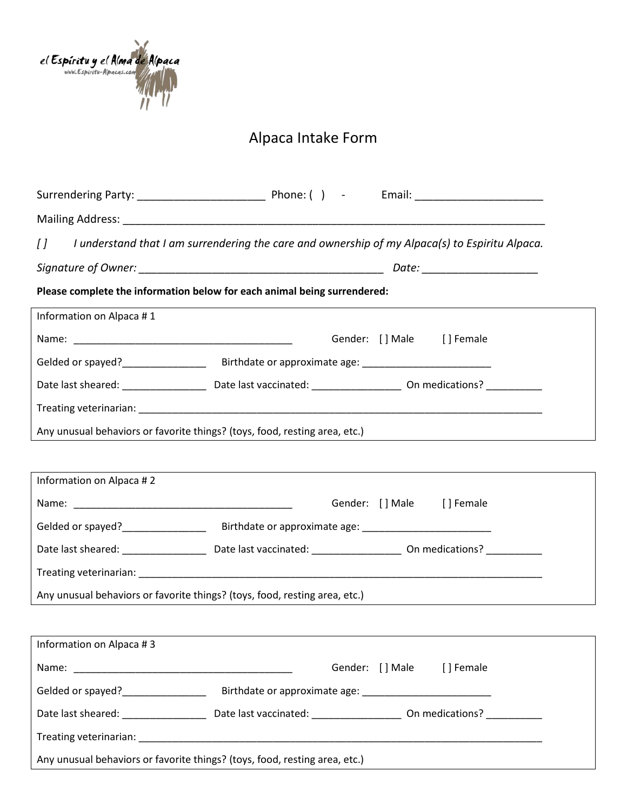

## Alpaca Intake Form

| $\iota$                                                                    | I understand that I am surrendering the care and ownership of my Alpaca(s) to Espiritu Alpaca. |                           |  |  |  |  |
|----------------------------------------------------------------------------|------------------------------------------------------------------------------------------------|---------------------------|--|--|--|--|
|                                                                            |                                                                                                |                           |  |  |  |  |
| Please complete the information below for each animal being surrendered:   |                                                                                                |                           |  |  |  |  |
| Information on Alpaca #1                                                   |                                                                                                |                           |  |  |  |  |
|                                                                            |                                                                                                | Gender: [] Male [] Female |  |  |  |  |
|                                                                            |                                                                                                |                           |  |  |  |  |
|                                                                            |                                                                                                |                           |  |  |  |  |
|                                                                            |                                                                                                |                           |  |  |  |  |
| Any unusual behaviors or favorite things? (toys, food, resting area, etc.) |                                                                                                |                           |  |  |  |  |
|                                                                            |                                                                                                |                           |  |  |  |  |
| Information on Alpaca #2                                                   |                                                                                                |                           |  |  |  |  |
|                                                                            |                                                                                                | Gender: [] Male [] Female |  |  |  |  |
|                                                                            |                                                                                                |                           |  |  |  |  |
|                                                                            |                                                                                                |                           |  |  |  |  |
|                                                                            |                                                                                                |                           |  |  |  |  |
| Any unusual behaviors or favorite things? (toys, food, resting area, etc.) |                                                                                                |                           |  |  |  |  |
|                                                                            |                                                                                                |                           |  |  |  |  |
| Information on Alpaca #3                                                   |                                                                                                |                           |  |  |  |  |
|                                                                            |                                                                                                | Gender: [] Male [] Female |  |  |  |  |
| Gelded or spayed? Birthdate or approximate age:                            |                                                                                                |                           |  |  |  |  |
|                                                                            |                                                                                                |                           |  |  |  |  |
|                                                                            |                                                                                                |                           |  |  |  |  |
| Any unusual behaviors or favorite things? (toys, food, resting area, etc.) |                                                                                                |                           |  |  |  |  |